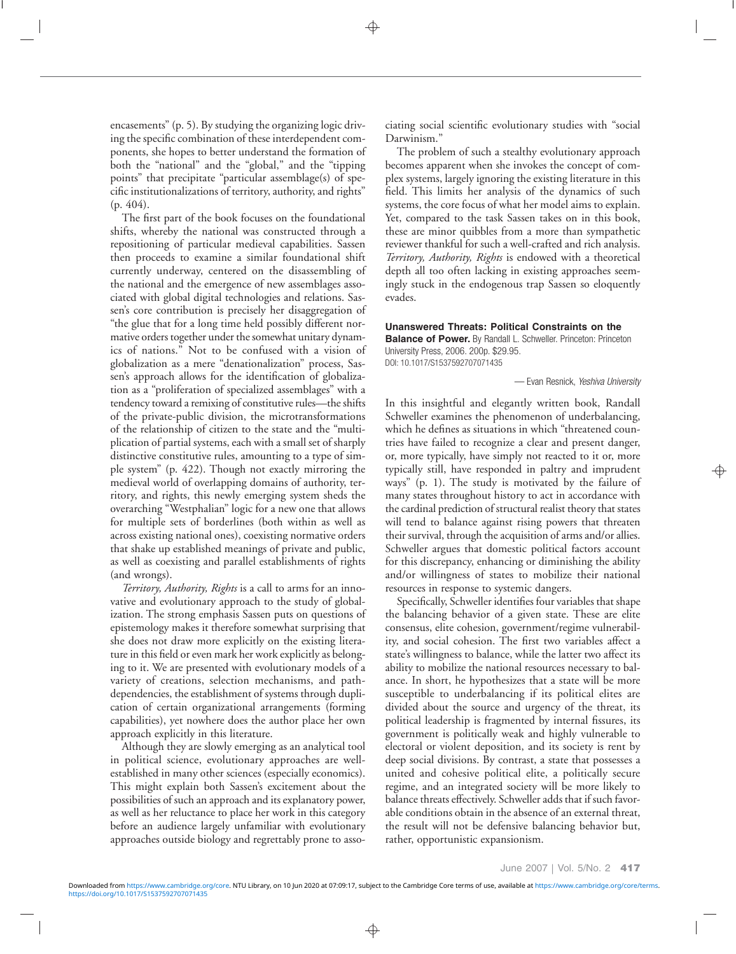encasements" (p. 5). By studying the organizing logic driving the specific combination of these interdependent components, she hopes to better understand the formation of both the "national" and the "global," and the "tipping points" that precipitate "particular assemblage(s) of specific institutionalizations of territory, authority, and rights" (p. 404).

The first part of the book focuses on the foundational shifts, whereby the national was constructed through a repositioning of particular medieval capabilities. Sassen then proceeds to examine a similar foundational shift currently underway, centered on the disassembling of the national and the emergence of new assemblages associated with global digital technologies and relations. Sassen's core contribution is precisely her disaggregation of "the glue that for a long time held possibly different normative orders together under the somewhat unitary dynamics of nations." Not to be confused with a vision of globalization as a mere "denationalization" process, Sassen's approach allows for the identification of globalization as a "proliferation of specialized assemblages" with a tendency toward a remixing of constitutive rules—the shifts of the private-public division, the microtransformations of the relationship of citizen to the state and the "multiplication of partial systems, each with a small set of sharply distinctive constitutive rules, amounting to a type of simple system" (p. 422). Though not exactly mirroring the medieval world of overlapping domains of authority, territory, and rights, this newly emerging system sheds the overarching "Westphalian" logic for a new one that allows for multiple sets of borderlines (both within as well as across existing national ones), coexisting normative orders that shake up established meanings of private and public, as well as coexisting and parallel establishments of rights (and wrongs).

*Territory, Authority, Rights* is a call to arms for an innovative and evolutionary approach to the study of globalization. The strong emphasis Sassen puts on questions of epistemology makes it therefore somewhat surprising that she does not draw more explicitly on the existing literature in this field or even mark her work explicitly as belonging to it. We are presented with evolutionary models of a variety of creations, selection mechanisms, and pathdependencies, the establishment of systems through duplication of certain organizational arrangements (forming capabilities), yet nowhere does the author place her own approach explicitly in this literature.

Although they are slowly emerging as an analytical tool in political science, evolutionary approaches are wellestablished in many other sciences (especially economics). This might explain both Sassen's excitement about the possibilities of such an approach and its explanatory power, as well as her reluctance to place her work in this category before an audience largely unfamiliar with evolutionary approaches outside biology and regrettably prone to associating social scientific evolutionary studies with "social Darwinism."

The problem of such a stealthy evolutionary approach becomes apparent when she invokes the concept of complex systems, largely ignoring the existing literature in this field. This limits her analysis of the dynamics of such systems, the core focus of what her model aims to explain. Yet, compared to the task Sassen takes on in this book, these are minor quibbles from a more than sympathetic reviewer thankful for such a well-crafted and rich analysis. *Territory, Authority, Rights* is endowed with a theoretical depth all too often lacking in existing approaches seemingly stuck in the endogenous trap Sassen so eloquently evades.

## **Unanswered Threats: Political Constraints on the**

**Balance of Power.** By Randall L. Schweller. Princeton: Princeton University Press, 2006. 200p. \$29.95. DOI: 10.1017/S1537592707071435

— Evan Resnick, *Yeshiva University*

In this insightful and elegantly written book, Randall Schweller examines the phenomenon of underbalancing, which he defines as situations in which "threatened countries have failed to recognize a clear and present danger, or, more typically, have simply not reacted to it or, more typically still, have responded in paltry and imprudent ways" (p. 1). The study is motivated by the failure of many states throughout history to act in accordance with the cardinal prediction of structural realist theory that states will tend to balance against rising powers that threaten their survival, through the acquisition of arms and/or allies. Schweller argues that domestic political factors account for this discrepancy, enhancing or diminishing the ability and/or willingness of states to mobilize their national resources in response to systemic dangers.

Specifically, Schweller identifies four variables that shape the balancing behavior of a given state. These are elite consensus, elite cohesion, government/regime vulnerability, and social cohesion. The first two variables affect a state's willingness to balance, while the latter two affect its ability to mobilize the national resources necessary to balance. In short, he hypothesizes that a state will be more susceptible to underbalancing if its political elites are divided about the source and urgency of the threat, its political leadership is fragmented by internal fissures, its government is politically weak and highly vulnerable to electoral or violent deposition, and its society is rent by deep social divisions. By contrast, a state that possesses a united and cohesive political elite, a politically secure regime, and an integrated society will be more likely to balance threats effectively. Schweller adds that if such favorable conditions obtain in the absence of an external threat, the result will not be defensive balancing behavior but, rather, opportunistic expansionism.